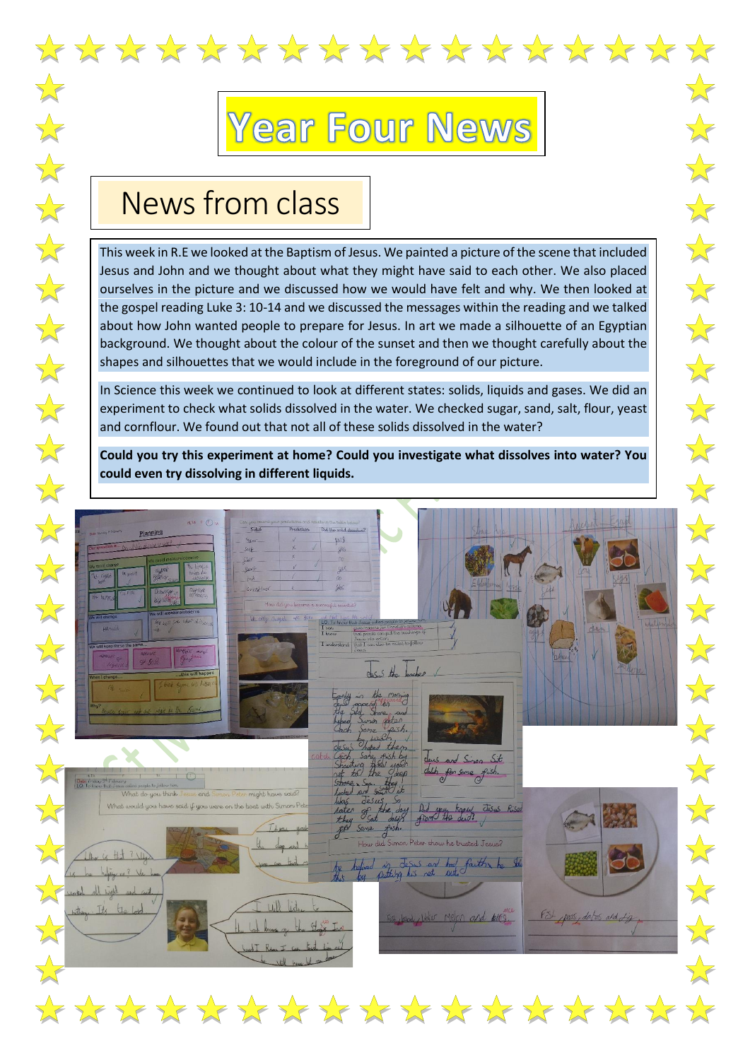

## **Year Four News**

 $\sum_{i=1}^{n}$ 

 $\sqrt{\frac{1}{2}}$ 

外外外外外外外

 $\frac{1}{\sqrt{2}}$ 

 $\sqrt{\sqrt{2}}$ 

 $\rightarrow$ 

计外科

 $\sqrt{\sqrt{2}}$ 

 $\sqrt{\sqrt{2}}$ 

计算

 $\sqrt{\sqrt{2}}$ 

## News from class

This week in R.E we looked at the Baptism of Jesus. We painted a picture of the scene that included Jesus and John and we thought about what they might have said to each other. We also placed ourselves in the picture and we discussed how we would have felt and why. We then looked at the gospel reading Luke 3: 10-14 and we discussed the messages within the reading and we talked about how John wanted people to prepare for Jesus. In art we made a silhouette of an Egyptian background. We thought about the colour of the sunset and then we thought carefully about the shapes and silhouettes that we would include in the foreground of our picture.

In Science this week we continued to look at different states: solids, liquids and gases. We did an experiment to check what solids dissolved in the water. We checked sugar, sand, salt, flour, yeast and cornflour. We found out that not all of these solids dissolved in the water?

**Could you try this experiment at home? Could you investigate what dissolves into water? You could even try dissolving in different liquids.**

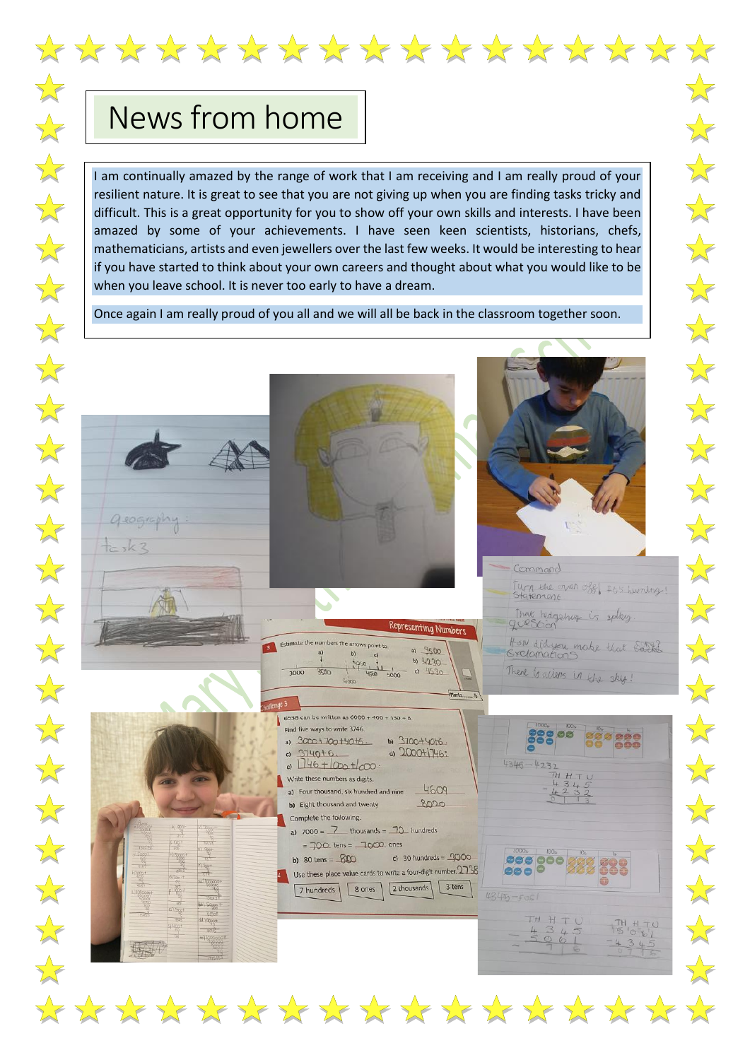## News from home

I am continually amazed by the range of work that I am receiving and I am really proud of your resilient nature. It is great to see that you are not giving up when you are finding tasks tricky and difficult. This is a great opportunity for you to show off your own skills and interests. I have been amazed by some of your achievements. I have seen keen scientists, historians, chefs, mathematicians, artists and even jewellers over the last few weeks. It would be interesting to hear if you have started to think about your own careers and thought about what you would like to be when you leave school. It is never too early to have a dream.

Once again I am really proud of you all and we will all be back in the classroom together soon.